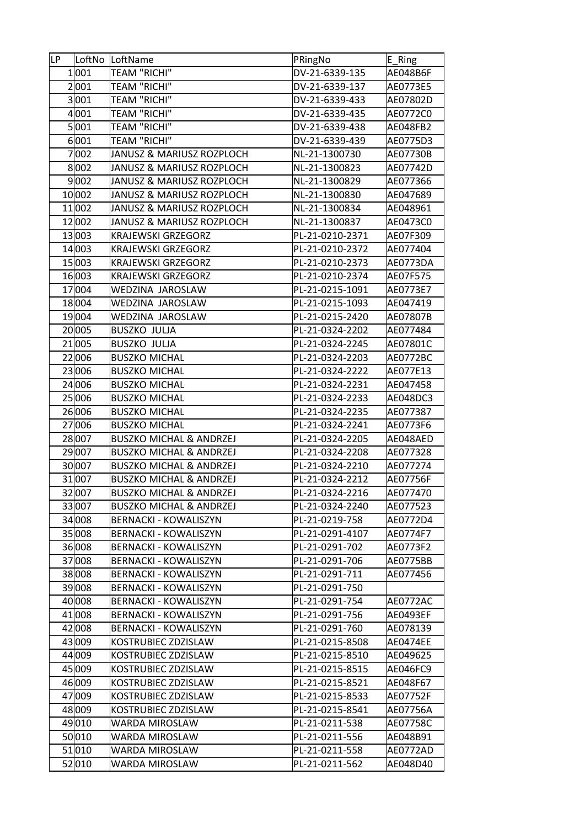| ∣LP. |                 | LoftNo LoftName                              | PRingNo                            | E_Ring               |
|------|-----------------|----------------------------------------------|------------------------------------|----------------------|
|      | 1 001           | <b>TEAM "RICHI"</b>                          | DV-21-6339-135                     | AE048B6F             |
|      | 2 001           | <b>TEAM "RICHI"</b>                          | DV-21-6339-137                     | AE0773E5             |
|      | 3 001           | <b>TEAM "RICHI"</b>                          | DV-21-6339-433                     | AE07802D             |
|      | 4 001           | <b>TEAM "RICHI"</b>                          | DV-21-6339-435                     | AE0772C0             |
|      | 5 001           | TEAM "RICHI"                                 | DV-21-6339-438                     | AE048FB2             |
|      | 6 001           | <b>TEAM "RICHI"</b>                          | DV-21-6339-439                     | AE0775D3             |
|      | 7002            | JANUSZ & MARIUSZ ROZPLOCH                    | NL-21-1300730                      | AE07730B             |
|      | 8002            | JANUSZ & MARIUSZ ROZPLOCH                    | NL-21-1300823                      | AE07742D             |
|      | 9 002           | JANUSZ & MARIUSZ ROZPLOCH                    | NL-21-1300829                      | AE077366             |
|      | 10002           | JANUSZ & MARIUSZ ROZPLOCH                    | NL-21-1300830                      | AE047689             |
|      | 11002           | JANUSZ & MARIUSZ ROZPLOCH                    | NL-21-1300834                      | AE048961             |
|      | 12 002          | JANUSZ & MARIUSZ ROZPLOCH                    | NL-21-1300837                      | AE0473C0             |
|      | 13003           | <b>KRAJEWSKI GRZEGORZ</b>                    | PL-21-0210-2371                    | AE07F309             |
|      | 14 003          | <b>KRAJEWSKI GRZEGORZ</b>                    | PL-21-0210-2372                    | AE077404             |
|      | 15003           | <b>KRAJEWSKI GRZEGORZ</b>                    | PL-21-0210-2373                    | AE0773DA             |
|      | 16003           | <b>KRAJEWSKI GRZEGORZ</b>                    | PL-21-0210-2374                    | AE07F575             |
|      | 17004           | WEDZINA JAROSLAW                             | PL-21-0215-1091                    | AE0773E7             |
|      | 18004           | WEDZINA JAROSLAW                             | PL-21-0215-1093                    | AE047419             |
|      | 19004           | WEDZINA JAROSLAW                             | PL-21-0215-2420                    | AE07807B             |
|      | 20 005          | <b>BUSZKO JULJA</b>                          | PL-21-0324-2202                    | AE077484             |
|      | 21005           | <b>BUSZKO JULJA</b>                          | PL-21-0324-2245                    | AE07801C             |
|      | 22 006          | <b>BUSZKO MICHAL</b>                         | PL-21-0324-2203                    | AE0772BC             |
|      | 23006           | <b>BUSZKO MICHAL</b>                         | PL-21-0324-2222                    | AE077E13             |
|      | 24 006          | <b>BUSZKO MICHAL</b>                         | PL-21-0324-2231                    | AE047458             |
|      |                 |                                              |                                    |                      |
|      | 25 006<br>26006 | <b>BUSZKO MICHAL</b><br><b>BUSZKO MICHAL</b> | PL-21-0324-2233<br>PL-21-0324-2235 | AE048DC3<br>AE077387 |
|      | 27006           | <b>BUSZKO MICHAL</b>                         | PL-21-0324-2241                    | AE0773F6             |
|      | 28 007          | <b>BUSZKO MICHAL &amp; ANDRZEJ</b>           | PL-21-0324-2205                    | AE048AED             |
|      | 29007           | <b>BUSZKO MICHAL &amp; ANDRZEJ</b>           | PL-21-0324-2208                    | AE077328             |
|      | 300007          | <b>BUSZKO MICHAL &amp; ANDRZEJ</b>           | PL-21-0324-2210                    | AE077274             |
|      | 31007           |                                              | PL-21-0324-2212                    |                      |
|      |                 | <b>BUSZKO MICHAL &amp; ANDRZEJ</b>           |                                    | AE07756F             |
|      | 32 007          | <b>BUSZKO MICHAL &amp; ANDRZEJ</b>           | PL-21-0324-2216                    | AE077470             |
|      | 33 007          | <b>BUSZKO MICHAL &amp; ANDRZEJ</b>           | PL-21-0324-2240                    | AE077523             |
|      | 34 008          | <b>BERNACKI - KOWALISZYN</b>                 | PL-21-0219-758                     | AE0772D4             |
|      | 35 008          | <b>BERNACKI - KOWALISZYN</b>                 | PL-21-0291-4107                    | AE0774F7             |
|      | 36 008          | <b>BERNACKI - KOWALISZYN</b>                 | PL-21-0291-702                     | AE0773F2             |
|      | 37008           | <b>BERNACKI - KOWALISZYN</b>                 | PL-21-0291-706                     | AE0775BB             |
|      | 38 008          | BERNACKI - KOWALISZYN                        | PL-21-0291-711                     | AE077456             |
|      | 39008           | <b>BERNACKI - KOWALISZYN</b>                 | PL-21-0291-750                     |                      |
|      | 40 008          | <b>BERNACKI - KOWALISZYN</b>                 | PL-21-0291-754                     | AE0772AC             |
|      | 41 008          | <b>BERNACKI - KOWALISZYN</b>                 | PL-21-0291-756                     | AE0493EF             |
|      | 42 008          | <b>BERNACKI - KOWALISZYN</b>                 | PL-21-0291-760                     | AE078139             |
|      | 43 009          | KOSTRUBIEC ZDZISLAW                          | PL-21-0215-8508                    | AE0474EE             |
|      | 44 009          | KOSTRUBIEC ZDZISLAW                          | PL-21-0215-8510                    | AE049625             |
|      | 45 009          | KOSTRUBIEC ZDZISLAW                          | PL-21-0215-8515                    | AE046FC9             |
|      | 46 009          | KOSTRUBIEC ZDZISLAW                          | PL-21-0215-8521                    | AE048F67             |
|      | 47 009          | KOSTRUBIEC ZDZISLAW                          | PL-21-0215-8533                    | AE07752F             |
|      | 48 009          | KOSTRUBIEC ZDZISLAW                          | PL-21-0215-8541                    | AE07756A             |
|      | 49010           | WARDA MIROSLAW                               | PL-21-0211-538                     | AE07758C             |
|      | 50010           | WARDA MIROSLAW                               | PL-21-0211-556                     | AE048B91             |
|      | 51010           | WARDA MIROSLAW                               | PL-21-0211-558                     | AE0772AD             |
|      | 52010           | WARDA MIROSLAW                               | PL-21-0211-562                     | AE048D40             |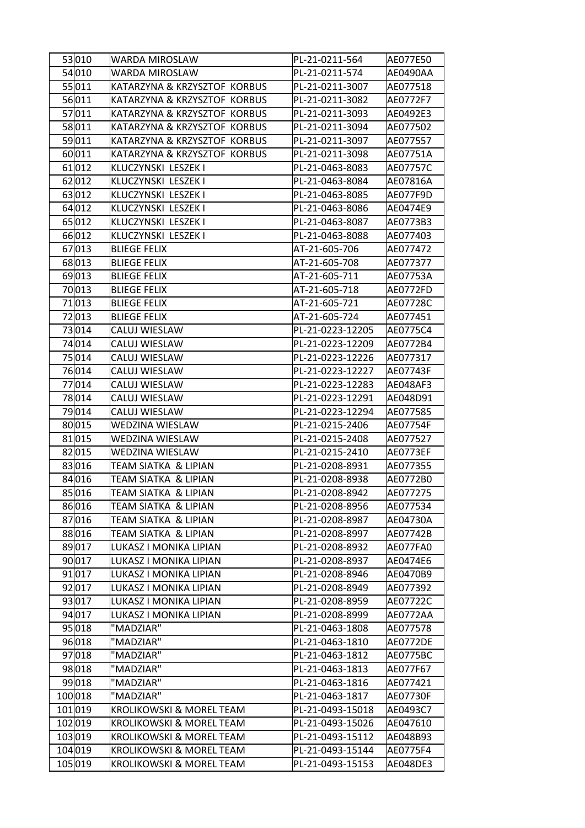| 53010<br>WARDA MIROSLAW<br>PL-21-0211-564                         | AE077E50        |
|-------------------------------------------------------------------|-----------------|
| 54 010<br>PL-21-0211-574<br>WARDA MIROSLAW                        | AE0490AA        |
| 55 011<br>KATARZYNA & KRZYSZTOF KORBUS<br>PL-21-0211-3007         | AE077518        |
| 56 011<br>KATARZYNA & KRZYSZTOF KORBUS<br>PL-21-0211-3082         | AE0772F7        |
| 57011<br>KATARZYNA & KRZYSZTOF KORBUS<br>PL-21-0211-3093          | AE0492E3        |
| 58011<br>KATARZYNA & KRZYSZTOF KORBUS<br>PL-21-0211-3094          | AE077502        |
| 59011<br>KATARZYNA & KRZYSZTOF KORBUS<br>PL-21-0211-3097          | AE077557        |
| 60 011<br>KATARZYNA & KRZYSZTOF KORBUS<br>PL-21-0211-3098         | AE07751A        |
| 61012<br>KLUCZYNSKI LESZEK I<br>PL-21-0463-8083                   | AE07757C        |
| 62012<br>PL-21-0463-8084<br>KLUCZYNSKI LESZEK I                   | AE07816A        |
| 63012<br>KLUCZYNSKI LESZEK I<br>PL-21-0463-8085                   | AE077F9D        |
| 64 012<br>KLUCZYNSKI LESZEK I<br>PL-21-0463-8086                  | AE0474E9        |
| 65012<br>KLUCZYNSKI LESZEK I<br>PL-21-0463-8087                   | AE0773B3        |
| 66012<br>KLUCZYNSKI LESZEK I<br>PL-21-0463-8088                   | AE077403        |
| 67013<br><b>BLIEGE FELIX</b><br>AT-21-605-706                     | AE077472        |
| 68013<br><b>BLIEGE FELIX</b><br>AT-21-605-708                     | AE077377        |
| 69013<br><b>BLIEGE FELIX</b><br>AT-21-605-711                     | AE07753A        |
| 70013<br><b>BLIEGE FELIX</b><br>AT-21-605-718                     | AE0772FD        |
| 71013<br><b>BLIEGE FELIX</b><br>AT-21-605-721                     | AE07728C        |
| 72013<br><b>BLIEGE FELIX</b><br>AT-21-605-724                     | AE077451        |
| 73014<br>CALUJ WIESLAW<br>PL-21-0223-12205                        | AE0775C4        |
| 74014<br>CALUJ WIESLAW<br>PL-21-0223-12209                        | AE0772B4        |
| 75014<br>CALUJ WIESLAW<br>PL-21-0223-12226                        | AE077317        |
| 76014<br>PL-21-0223-12227<br>CALUJ WIESLAW                        | AE07743F        |
| 77014<br>CALUJ WIESLAW<br>PL-21-0223-12283                        | AE048AF3        |
| 78014<br>CALUJ WIESLAW<br>PL-21-0223-12291                        | AE048D91        |
| 79014<br>CALUJ WIESLAW<br>PL-21-0223-12294                        | AE077585        |
| 80 015<br>WEDZINA WIESLAW<br>PL-21-0215-2406                      | AE07754F        |
| 81 015<br><b>WEDZINA WIESLAW</b><br>PL-21-0215-2408               | AE077527        |
| 82 015<br>WEDZINA WIESLAW<br>PL-21-0215-2410                      | AE0773EF        |
| 83016<br>TEAM SIATKA & LIPIAN<br>PL-21-0208-8931                  | AE077355        |
| 84 016<br>TEAM SIATKA & LIPIAN<br>PL-21-0208-8938                 | AE0772B0        |
| 85016<br>TEAM SIATKA & LIPIAN<br>PL-21-0208-8942                  | AE077275        |
| 86 016<br>TEAM SIATKA & LIPIAN<br>PL-21-0208-8956                 | AE077534        |
| 87016<br>TEAM SIATKA & LIPIAN<br>PL-21-0208-8987                  | AE04730A        |
| 88016<br>TEAM SIATKA & LIPIAN<br>PL-21-0208-8997                  | AE07742B        |
| 89017<br>LUKASZ I MONIKA LIPIAN<br>PL-21-0208-8932                | AE077FA0        |
| 90 017<br>LUKASZ I MONIKA LIPIAN<br>PL-21-0208-8937               | AE0474E6        |
| 91 017<br>LUKASZ I MONIKA LIPIAN<br>PL-21-0208-8946               | AE0470B9        |
| 92 017<br>LUKASZ I MONIKA LIPIAN<br>PL-21-0208-8949               | AE077392        |
| 93 017<br>LUKASZ I MONIKA LIPIAN<br>PL-21-0208-8959               | AE07722C        |
| 94 017<br>LUKASZ I MONIKA LIPIAN<br>PL-21-0208-8999               | AE0772AA        |
| 95 018<br>"MADZIAR"<br>PL-21-0463-1808                            | AE077578        |
| "MADZIAR"<br>96 018<br>PL-21-0463-1810                            | <b>AE0772DE</b> |
| 97 018<br>"MADZIAR"<br>PL-21-0463-1812                            | AE0775BC        |
| "MADZIAR"<br>98 018<br>PL-21-0463-1813                            | AE077F67        |
| 99018<br>"MADZIAR"<br>PL-21-0463-1816                             | AE077421        |
| 100018<br>"MADZIAR"<br>PL-21-0463-1817                            | AE07730F        |
| 101 019<br>PL-21-0493-15018<br>KROLIKOWSKI & MOREL TEAM           | AE0493C7        |
| 102 019<br>KROLIKOWSKI & MOREL TEAM<br>PL-21-0493-15026           | AE047610        |
| 103019<br><b>KROLIKOWSKI &amp; MOREL TEAM</b><br>PL-21-0493-15112 | AE048B93        |
| 104 019<br>KROLIKOWSKI & MOREL TEAM<br>PL-21-0493-15144           | AE0775F4        |
| 105 019<br>KROLIKOWSKI & MOREL TEAM<br>PL-21-0493-15153           | AE048DE3        |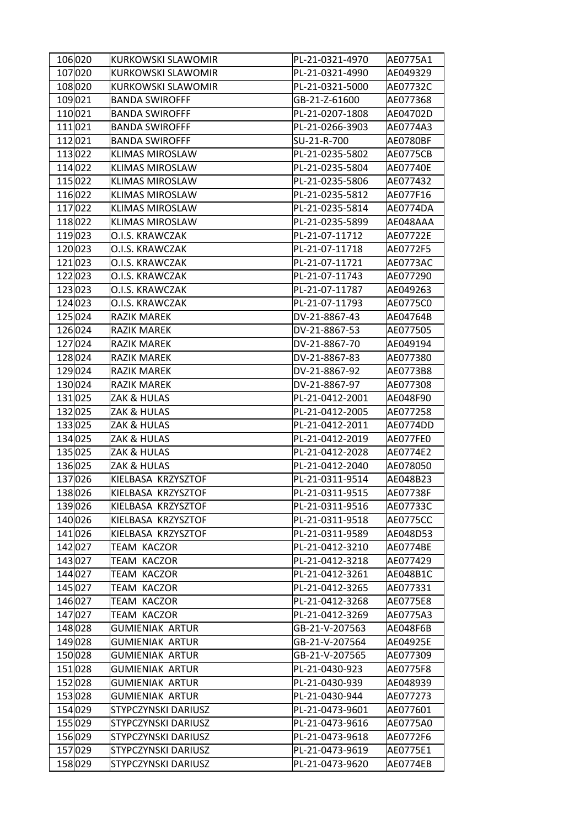| 106020  | KURKOWSKI SLAWOMIR         | PL-21-0321-4970 | AE0775A1 |
|---------|----------------------------|-----------------|----------|
| 107020  | KURKOWSKI SLAWOMIR         | PL-21-0321-4990 | AE049329 |
| 108020  | KURKOWSKI SLAWOMIR         | PL-21-0321-5000 | AE07732C |
| 109021  | <b>BANDA SWIROFFF</b>      | GB-21-Z-61600   | AE077368 |
| 110021  | <b>BANDA SWIROFFF</b>      | PL-21-0207-1808 | AE04702D |
| 111021  | <b>BANDA SWIROFFF</b>      | PL-21-0266-3903 | AE0774A3 |
| 112021  | <b>BANDA SWIROFFF</b>      | SU-21-R-700     | AE0780BF |
| 113022  | <b>KLIMAS MIROSLAW</b>     | PL-21-0235-5802 | AE0775CB |
| 114022  | <b>KLIMAS MIROSLAW</b>     | PL-21-0235-5804 | AE07740E |
| 115 022 | <b>KLIMAS MIROSLAW</b>     | PL-21-0235-5806 | AE077432 |
| 116022  | <b>KLIMAS MIROSLAW</b>     | PL-21-0235-5812 | AE077F16 |
| 117022  | <b>KLIMAS MIROSLAW</b>     | PL-21-0235-5814 | AE0774DA |
| 118022  | <b>KLIMAS MIROSLAW</b>     | PL-21-0235-5899 | AE048AAA |
| 119023  | O.I.S. KRAWCZAK            | PL-21-07-11712  | AE07722E |
| 120023  | O.I.S. KRAWCZAK            | PL-21-07-11718  | AE0772F5 |
| 121023  | O.I.S. KRAWCZAK            | PL-21-07-11721  | AE0773AC |
| 122023  | O.I.S. KRAWCZAK            | PL-21-07-11743  | AE077290 |
| 123023  | O.I.S. KRAWCZAK            | PL-21-07-11787  | AE049263 |
| 124 023 | O.I.S. KRAWCZAK            | PL-21-07-11793  | AE0775C0 |
| 125024  | <b>RAZIK MAREK</b>         | DV-21-8867-43   | AE04764B |
| 126024  | <b>RAZIK MAREK</b>         | DV-21-8867-53   | AE077505 |
| 127024  | <b>RAZIK MAREK</b>         | DV-21-8867-70   | AE049194 |
| 128024  | <b>RAZIK MAREK</b>         | DV-21-8867-83   | AE077380 |
| 129024  | RAZIK MAREK                | DV-21-8867-92   | AE0773B8 |
| 130024  | <b>RAZIK MAREK</b>         | DV-21-8867-97   | AE077308 |
| 131025  | ZAK & HULAS                | PL-21-0412-2001 | AE048F90 |
| 132025  | <b>ZAK &amp; HULAS</b>     | PL-21-0412-2005 | AE077258 |
| 133025  | ZAK & HULAS                | PL-21-0412-2011 | AE0774DD |
| 134 025 | <b>ZAK &amp; HULAS</b>     | PL-21-0412-2019 | AE077FE0 |
| 135025  | ZAK & HULAS                | PL-21-0412-2028 | AE0774E2 |
| 136025  | <b>ZAK &amp; HULAS</b>     | PL-21-0412-2040 | AE078050 |
| 137026  | KIELBASA KRZYSZTOF         | PL-21-0311-9514 | AE048B23 |
| 138026  | KIELBASA KRZYSZTOF         | PL-21-0311-9515 | AE07738F |
| 139026  | KIELBASA KRZYSZTOF         | PL-21-0311-9516 | AE07733C |
| 140026  | KIELBASA KRZYSZTOF         | PL-21-0311-9518 | AE0775CC |
| 141026  | KIELBASA KRZYSZTOF         | PL-21-0311-9589 | AE048D53 |
| 142027  | TEAM KACZOR                | PL-21-0412-3210 | AE0774BE |
| 143 027 | TEAM KACZOR                | PL-21-0412-3218 | AE077429 |
| 144 027 | TEAM KACZOR                | PL-21-0412-3261 | AE048B1C |
| 145 027 | TEAM KACZOR                | PL-21-0412-3265 | AE077331 |
| 146027  | TEAM KACZOR                | PL-21-0412-3268 | AE0775E8 |
| 147027  | TEAM KACZOR                | PL-21-0412-3269 | AE0775A3 |
| 148028  | GUMIENIAK ARTUR            | GB-21-V-207563  | AE048F6B |
| 149028  | <b>GUMIENIAK ARTUR</b>     | GB-21-V-207564  | AE04925E |
| 150028  | <b>GUMIENIAK ARTUR</b>     | GB-21-V-207565  | AE077309 |
| 151028  | <b>GUMIENIAK ARTUR</b>     | PL-21-0430-923  | AE0775F8 |
| 152028  | GUMIENIAK ARTUR            | PL-21-0430-939  | AE048939 |
| 153028  | <b>GUMIENIAK ARTUR</b>     | PL-21-0430-944  | AE077273 |
| 154 029 | STYPCZYNSKI DARIUSZ        | PL-21-0473-9601 | AE077601 |
| 155029  | <b>STYPCZYNSKI DARIUSZ</b> | PL-21-0473-9616 | AE0775A0 |
| 156029  | <b>STYPCZYNSKI DARIUSZ</b> | PL-21-0473-9618 | AE0772F6 |
| 157029  | STYPCZYNSKI DARIUSZ        | PL-21-0473-9619 | AE0775E1 |
| 158029  | STYPCZYNSKI DARIUSZ        | PL-21-0473-9620 | AE0774EB |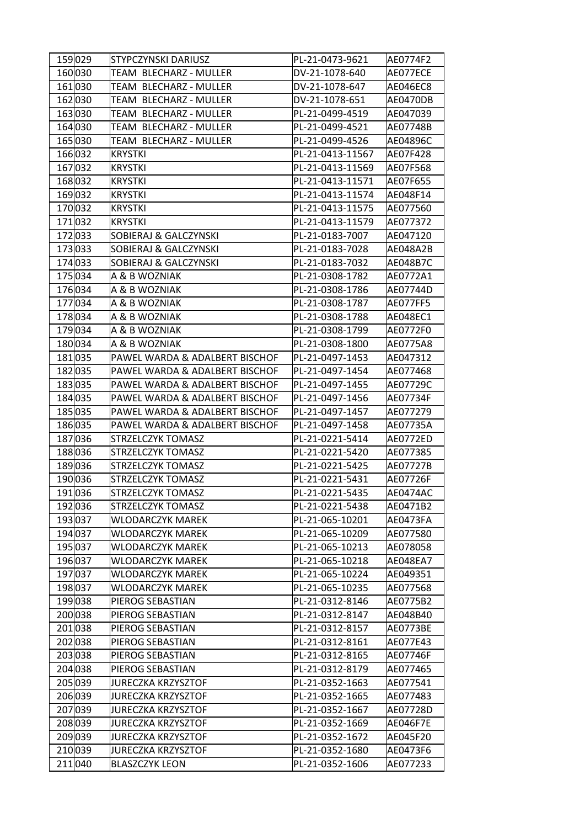| 159029  | STYPCZYNSKI DARIUSZ              | PL-21-0473-9621  | AE0774F2        |
|---------|----------------------------------|------------------|-----------------|
| 160030  | TEAM BLECHARZ - MULLER           | DV-21-1078-640   | AE077ECE        |
| 161030  | TEAM BLECHARZ - MULLER           | DV-21-1078-647   | AE046EC8        |
| 162 030 | TEAM BLECHARZ - MULLER           | DV-21-1078-651   | AE0470DB        |
| 163030  | TEAM BLECHARZ - MULLER           | PL-21-0499-4519  | AE047039        |
| 164030  | TEAM BLECHARZ - MULLER           | PL-21-0499-4521  | AE07748B        |
| 165030  | TEAM BLECHARZ - MULLER           | PL-21-0499-4526  | AE04896C        |
| 166032  | KRYSTKI                          | PL-21-0413-11567 | AE07F428        |
| 167032  | <b>KRYSTKI</b>                   | PL-21-0413-11569 | AE07F568        |
| 168032  | KRYSTKI                          | PL-21-0413-11571 | AE07F655        |
| 169032  | KRYSTKI                          | PL-21-0413-11574 | AE048F14        |
| 170032  | KRYSTKI                          | PL-21-0413-11575 | AE077560        |
| 171032  | KRYSTKI                          | PL-21-0413-11579 | AE077372        |
| 172033  | <b>SOBIERAJ &amp; GALCZYNSKI</b> | PL-21-0183-7007  | AE047120        |
| 173033  | <b>SOBIERAJ &amp; GALCZYNSKI</b> | PL-21-0183-7028  | AE048A2B        |
| 174033  | <b>SOBIERAJ &amp; GALCZYNSKI</b> | PL-21-0183-7032  | <b>AE048B7C</b> |
| 175034  | A & B WOZNIAK                    | PL-21-0308-1782  | AE0772A1        |
| 176034  | A & B WOZNIAK                    | PL-21-0308-1786  | AE07744D        |
| 177034  | A & B WOZNIAK                    | PL-21-0308-1787  | AE077FF5        |
| 178034  | A & B WOZNIAK                    | PL-21-0308-1788  | AE048EC1        |
| 179034  | A & B WOZNIAK                    | PL-21-0308-1799  | AE0772F0        |
| 180034  | A & B WOZNIAK                    | PL-21-0308-1800  | AE0775A8        |
| 181035  | PAWEL WARDA & ADALBERT BISCHOF   | PL-21-0497-1453  | AE047312        |
| 182035  | PAWEL WARDA & ADALBERT BISCHOF   | PL-21-0497-1454  | AE077468        |
| 183035  | PAWEL WARDA & ADALBERT BISCHOF   | PL-21-0497-1455  | AE07729C        |
| 184 035 | PAWEL WARDA & ADALBERT BISCHOF   | PL-21-0497-1456  | AE07734F        |
| 185035  | PAWEL WARDA & ADALBERT BISCHOF   | PL-21-0497-1457  | AE077279        |
| 186 035 | PAWEL WARDA & ADALBERT BISCHOF   | PL-21-0497-1458  | AE07735A        |
| 187036  | <b>STRZELCZYK TOMASZ</b>         | PL-21-0221-5414  | AE0772ED        |
| 188036  | <b>STRZELCZYK TOMASZ</b>         | PL-21-0221-5420  | AE077385        |
| 189036  | <b>STRZELCZYK TOMASZ</b>         | PL-21-0221-5425  | AE07727B        |
| 190036  | <b>STRZELCZYK TOMASZ</b>         | PL-21-0221-5431  | AE07726F        |
| 191036  | <b>STRZELCZYK TOMASZ</b>         | PL-21-0221-5435  | AE0474AC        |
| 192 036 | <b>STRZELCZYK TOMASZ</b>         | PL-21-0221-5438  | AE0471B2        |
| 193037  | <b>WLODARCZYK MAREK</b>          | PL-21-065-10201  | AE0473FA        |
| 194 037 | WLODARCZYK MAREK                 | PL-21-065-10209  | AE077580        |
| 195037  | <b>WLODARCZYK MAREK</b>          | PL-21-065-10213  | AE078058        |
| 196037  | WLODARCZYK MAREK                 | PL-21-065-10218  | AE048EA7        |
| 197037  | <b>WLODARCZYK MAREK</b>          | PL-21-065-10224  | AE049351        |
| 198037  | <b>WLODARCZYK MAREK</b>          | PL-21-065-10235  | AE077568        |
| 199038  | PIEROG SEBASTIAN                 | PL-21-0312-8146  | AE0775B2        |
| 200038  | PIEROG SEBASTIAN                 | PL-21-0312-8147  | AE048B40        |
| 201038  | PIEROG SEBASTIAN                 | PL-21-0312-8157  | <b>AE0773BE</b> |
| 202038  | PIEROG SEBASTIAN                 | PL-21-0312-8161  | AE077E43        |
| 203038  | PIEROG SEBASTIAN                 | PL-21-0312-8165  | AE07746F        |
| 204 038 | PIEROG SEBASTIAN                 | PL-21-0312-8179  | AE077465        |
| 205039  | JURECZKA KRZYSZTOF               | PL-21-0352-1663  | AE077541        |
| 206 039 | <b>JURECZKA KRZYSZTOF</b>        | PL-21-0352-1665  | AE077483        |
| 207039  | JURECZKA KRZYSZTOF               | PL-21-0352-1667  | AE07728D        |
| 208039  | JURECZKA KRZYSZTOF               | PL-21-0352-1669  | AE046F7E        |
| 209039  | JURECZKA KRZYSZTOF               | PL-21-0352-1672  | AE045F20        |
| 210039  | JURECZKA KRZYSZTOF               | PL-21-0352-1680  | AE0473F6        |
| 211040  | <b>BLASZCZYK LEON</b>            | PL-21-0352-1606  | AE077233        |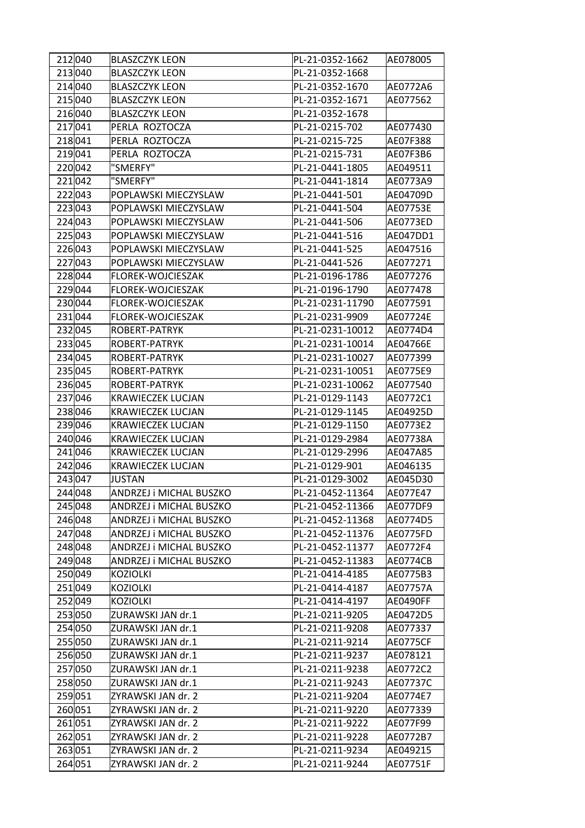| 212 040 | <b>BLASZCZYK LEON</b>    | PL-21-0352-1662  | AE078005 |
|---------|--------------------------|------------------|----------|
| 213040  | <b>BLASZCZYK LEON</b>    | PL-21-0352-1668  |          |
| 214 040 | <b>BLASZCZYK LEON</b>    | PL-21-0352-1670  | AE0772A6 |
| 215 040 | <b>BLASZCZYK LEON</b>    | PL-21-0352-1671  | AE077562 |
| 216040  | <b>BLASZCZYK LEON</b>    | PL-21-0352-1678  |          |
| 217 041 | PERLA ROZTOCZA           | PL-21-0215-702   | AE077430 |
| 218 041 | PERLA ROZTOCZA           | PL-21-0215-725   | AE07F388 |
| 219 041 | PERLA ROZTOCZA           | PL-21-0215-731   | AE07F3B6 |
| 220 042 | "SMERFY"                 | PL-21-0441-1805  | AE049511 |
| 221042  | "SMERFY"                 | PL-21-0441-1814  | AE0773A9 |
| 222 043 | POPLAWSKI MIECZYSLAW     | PL-21-0441-501   | AE04709D |
| 223043  | POPLAWSKI MIECZYSLAW     | PL-21-0441-504   | AE07753E |
| 224 043 | POPLAWSKI MIECZYSLAW     | PL-21-0441-506   | AE0773ED |
| 225 043 | POPLAWSKI MIECZYSLAW     | PL-21-0441-516   | AE047DD1 |
| 226 043 | POPLAWSKI MIECZYSLAW     | PL-21-0441-525   | AE047516 |
| 227 043 | POPLAWSKI MIECZYSLAW     | PL-21-0441-526   | AE077271 |
| 228 044 | <b>FLOREK-WOJCIESZAK</b> | PL-21-0196-1786  | AE077276 |
| 229 044 | FLOREK-WOJCIESZAK        | PL-21-0196-1790  | AE077478 |
| 230 044 | FLOREK-WOJCIESZAK        | PL-21-0231-11790 | AE077591 |
| 231044  | FLOREK-WOJCIESZAK        | PL-21-0231-9909  | AE07724E |
| 232 045 | ROBERT-PATRYK            | PL-21-0231-10012 | AE0774D4 |
| 233045  | ROBERT-PATRYK            | PL-21-0231-10014 | AE04766E |
| 234 045 | ROBERT-PATRYK            | PL-21-0231-10027 | AE077399 |
| 235 045 | <b>ROBERT-PATRYK</b>     | PL-21-0231-10051 | AE0775E9 |
| 236 045 | ROBERT-PATRYK            | PL-21-0231-10062 | AE077540 |
| 237 046 | <b>KRAWIECZEK LUCJAN</b> | PL-21-0129-1143  | AE0772C1 |
| 238 046 | <b>KRAWIECZEK LUCJAN</b> | PL-21-0129-1145  | AE04925D |
| 239046  | <b>KRAWIECZEK LUCJAN</b> | PL-21-0129-1150  | AE0773E2 |
| 240 046 | <b>KRAWIECZEK LUCJAN</b> | PL-21-0129-2984  | AE07738A |
| 241 046 | <b>KRAWIECZEK LUCJAN</b> | PL-21-0129-2996  | AE047A85 |
| 242 046 | <b>KRAWIECZEK LUCJAN</b> | PL-21-0129-901   | AE046135 |
| 243 047 | <b>JUSTAN</b>            | PL-21-0129-3002  | AE045D30 |
| 244048  | ANDRZEJ i MICHAL BUSZKO  | PL-21-0452-11364 | AE077E47 |
| 245 048 | ANDRZEJ i MICHAL BUSZKO  | PL-21-0452-11366 | AE077DF9 |
| 246 048 | ANDRZEJ i MICHAL BUSZKO  | PL-21-0452-11368 | AE0774D5 |
| 247 048 | ANDRZEJ i MICHAL BUSZKO  | PL-21-0452-11376 | AE0775FD |
| 248 048 | ANDRZEJ i MICHAL BUSZKO  | PL-21-0452-11377 | AE0772F4 |
| 249 048 | ANDRZEJ i MICHAL BUSZKO  | PL-21-0452-11383 | AE0774CB |
| 250049  | <b>KOZIOLKI</b>          | PL-21-0414-4185  | AE0775B3 |
| 251049  | <b>KOZIOLKI</b>          | PL-21-0414-4187  | AE07757A |
| 252 049 | <b>KOZIOLKI</b>          | PL-21-0414-4197  | AE0490FF |
| 253050  | ZURAWSKI JAN dr.1        | PL-21-0211-9205  | AE0472D5 |
| 254 050 | ZURAWSKI JAN dr.1        | PL-21-0211-9208  | AE077337 |
| 255050  | ZURAWSKI JAN dr.1        | PL-21-0211-9214  | AE0775CF |
| 256050  | ZURAWSKI JAN dr.1        | PL-21-0211-9237  | AE078121 |
| 257050  | ZURAWSKI JAN dr.1        | PL-21-0211-9238  | AE0772C2 |
| 258050  | ZURAWSKI JAN dr.1        | PL-21-0211-9243  | AE07737C |
| 259051  | ZYRAWSKI JAN dr. 2       | PL-21-0211-9204  | AE0774E7 |
| 260 051 | ZYRAWSKI JAN dr. 2       | PL-21-0211-9220  | AE077339 |
| 261051  | ZYRAWSKI JAN dr. 2       | PL-21-0211-9222  | AE077F99 |
| 262051  | ZYRAWSKI JAN dr. 2       | PL-21-0211-9228  | AE0772B7 |
| 263051  | ZYRAWSKI JAN dr. 2       | PL-21-0211-9234  | AE049215 |
| 264 051 | ZYRAWSKI JAN dr. 2       | PL-21-0211-9244  | AE07751F |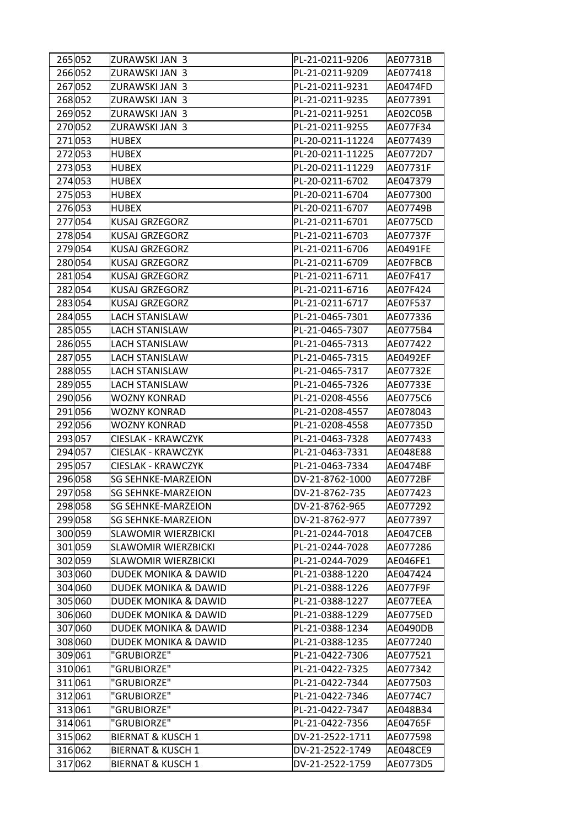| 265 052 | ZURAWSKI JAN 3                  | PL-21-0211-9206  | AE07731B |
|---------|---------------------------------|------------------|----------|
| 266052  | ZURAWSKI JAN 3                  | PL-21-0211-9209  | AE077418 |
| 267052  | ZURAWSKI JAN 3                  | PL-21-0211-9231  | AE0474FD |
| 268052  | ZURAWSKI JAN 3                  | PL-21-0211-9235  | AE077391 |
| 269052  | ZURAWSKI JAN 3                  | PL-21-0211-9251  | AE02C05B |
| 270052  | ZURAWSKI JAN 3                  | PL-21-0211-9255  | AE077F34 |
| 271053  | <b>HUBEX</b>                    | PL-20-0211-11224 | AE077439 |
| 272053  | <b>HUBEX</b>                    | PL-20-0211-11225 | AE0772D7 |
| 273053  | <b>HUBEX</b>                    | PL-20-0211-11229 | AE07731F |
| 274 053 | <b>HUBEX</b>                    | PL-20-0211-6702  | AE047379 |
| 275053  | <b>HUBEX</b>                    | PL-20-0211-6704  | AE077300 |
| 276053  | <b>HUBEX</b>                    | PL-20-0211-6707  | AE07749B |
| 277054  | KUSAJ GRZEGORZ                  | PL-21-0211-6701  | AE0775CD |
| 278 054 | KUSAJ GRZEGORZ                  | PL-21-0211-6703  | AE07737F |
| 279054  | <b>KUSAJ GRZEGORZ</b>           | PL-21-0211-6706  | AE0491FE |
| 280054  | KUSAJ GRZEGORZ                  | PL-21-0211-6709  | AE07FBCB |
| 281054  | KUSAJ GRZEGORZ                  | PL-21-0211-6711  | AE07F417 |
| 282054  | KUSAJ GRZEGORZ                  | PL-21-0211-6716  | AE07F424 |
| 283054  | KUSAJ GRZEGORZ                  | PL-21-0211-6717  | AE07F537 |
| 284 055 | <b>LACH STANISLAW</b>           | PL-21-0465-7301  | AE077336 |
| 285 055 | <b>LACH STANISLAW</b>           | PL-21-0465-7307  | AE0775B4 |
| 286 055 | <b>LACH STANISLAW</b>           | PL-21-0465-7313  | AE077422 |
| 287 055 | <b>LACH STANISLAW</b>           | PL-21-0465-7315  | AE0492EF |
| 288 055 | <b>LACH STANISLAW</b>           | PL-21-0465-7317  | AE07732E |
| 289 055 | <b>LACH STANISLAW</b>           | PL-21-0465-7326  | AE07733E |
| 290 056 | WOZNY KONRAD                    | PL-21-0208-4556  | AE0775C6 |
| 291056  | <b>WOZNY KONRAD</b>             | PL-21-0208-4557  | AE078043 |
| 292 056 | <b>WOZNY KONRAD</b>             | PL-21-0208-4558  | AE07735D |
| 293 057 | CIESLAK - KRAWCZYK              | PL-21-0463-7328  | AE077433 |
| 294 057 | <b>CIESLAK - KRAWCZYK</b>       | PL-21-0463-7331  | AE048E88 |
| 295 057 | <b>CIESLAK - KRAWCZYK</b>       | PL-21-0463-7334  | AE0474BF |
| 296 058 | <b>SG SEHNKE-MARZEION</b>       | DV-21-8762-1000  | AE0772BF |
| 297058  | SG SEHNKE-MARZEION              | DV-21-8762-735   | AE077423 |
| 298 058 | <b>SG SEHNKE-MARZEION</b>       | DV-21-8762-965   | AE077292 |
| 299 058 | <b>SG SEHNKE-MARZEION</b>       | DV-21-8762-977   | AE077397 |
| 300 059 | <b>SLAWOMIR WIERZBICKI</b>      | PL-21-0244-7018  | AE047CEB |
| 301 059 | <b>SLAWOMIR WIERZBICKI</b>      | PL-21-0244-7028  | AE077286 |
| 302 059 | <b>SLAWOMIR WIERZBICKI</b>      | PL-21-0244-7029  | AE046FE1 |
| 303060  | DUDEK MONIKA & DAWID            | PL-21-0388-1220  | AE047424 |
| 304 060 | DUDEK MONIKA & DAWID            | PL-21-0388-1226  | AE077F9F |
| 305 060 | <b>DUDEK MONIKA &amp; DAWID</b> | PL-21-0388-1227  | AE077EEA |
| 306 060 | DUDEK MONIKA & DAWID            | PL-21-0388-1229  | AE0775ED |
| 307060  | DUDEK MONIKA & DAWID            | PL-21-0388-1234  | AE0490DB |
| 308060  | DUDEK MONIKA & DAWID            | PL-21-0388-1235  | AE077240 |
| 309061  | "GRUBIORZE"                     | PL-21-0422-7306  | AE077521 |
| 310 061 | "GRUBIORZE"                     | PL-21-0422-7325  | AE077342 |
| 311061  | "GRUBIORZE"                     | PL-21-0422-7344  | AE077503 |
| 312 061 | "GRUBIORZE"                     | PL-21-0422-7346  | AE0774C7 |
| 313061  | "GRUBIORZE"                     | PL-21-0422-7347  | AE048B34 |
| 314 061 | "GRUBIORZE"                     | PL-21-0422-7356  | AE04765F |
| 315 062 | <b>BIERNAT &amp; KUSCH 1</b>    | DV-21-2522-1711  | AE077598 |
| 316 062 | <b>BIERNAT &amp; KUSCH 1</b>    | DV-21-2522-1749  | AE048CE9 |
| 317 062 | <b>BIERNAT &amp; KUSCH 1</b>    | DV-21-2522-1759  | AE0773D5 |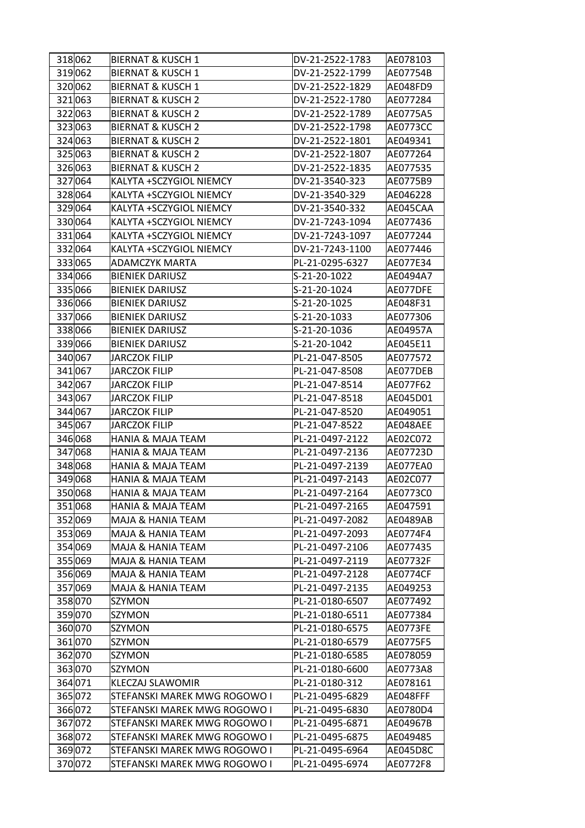| 318 062 | <b>BIERNAT &amp; KUSCH 1</b> | DV-21-2522-1783 | AE078103        |
|---------|------------------------------|-----------------|-----------------|
| 319 062 | <b>BIERNAT &amp; KUSCH 1</b> | DV-21-2522-1799 | AE07754B        |
| 320 062 | <b>BIERNAT &amp; KUSCH 1</b> | DV-21-2522-1829 | AE048FD9        |
| 321 063 | <b>BIERNAT &amp; KUSCH 2</b> | DV-21-2522-1780 | AE077284        |
| 322 063 | <b>BIERNAT &amp; KUSCH 2</b> | DV-21-2522-1789 | AE0775A5        |
| 323 063 | <b>BIERNAT &amp; KUSCH 2</b> | DV-21-2522-1798 | <b>AE0773CC</b> |
| 324 063 | <b>BIERNAT &amp; KUSCH 2</b> | DV-21-2522-1801 | AE049341        |
| 325 063 | <b>BIERNAT &amp; KUSCH 2</b> | DV-21-2522-1807 | AE077264        |
| 326 063 | <b>BIERNAT &amp; KUSCH 2</b> | DV-21-2522-1835 | AE077535        |
| 327 064 | KALYTA +SCZYGIOL NIEMCY      | DV-21-3540-323  | AE0775B9        |
| 328 064 | KALYTA +SCZYGIOL NIEMCY      | DV-21-3540-329  | AE046228        |
| 329 064 | KALYTA +SCZYGIOL NIEMCY      | DV-21-3540-332  | AE045CAA        |
| 330 064 | KALYTA +SCZYGIOL NIEMCY      | DV-21-7243-1094 | AE077436        |
| 331 064 | KALYTA +SCZYGIOL NIEMCY      | DV-21-7243-1097 | AE077244        |
| 332 064 | KALYTA +SCZYGIOL NIEMCY      | DV-21-7243-1100 | AE077446        |
| 333065  | <b>ADAMCZYK MARTA</b>        | PL-21-0295-6327 | AE077E34        |
| 334 066 | <b>BIENIEK DARIUSZ</b>       | S-21-20-1022    | AE0494A7        |
| 335066  | <b>BIENIEK DARIUSZ</b>       | S-21-20-1024    | AE077DFE        |
| 336 066 | <b>BIENIEK DARIUSZ</b>       | S-21-20-1025    | AE048F31        |
| 337066  | <b>BIENIEK DARIUSZ</b>       | S-21-20-1033    | AE077306        |
| 338066  | <b>BIENIEK DARIUSZ</b>       | S-21-20-1036    | AE04957A        |
| 339 066 | <b>BIENIEK DARIUSZ</b>       | S-21-20-1042    | AE045E11        |
| 340 067 | <b>JARCZOK FILIP</b>         | PL-21-047-8505  | AE077572        |
| 341 067 | <b>JARCZOK FILIP</b>         | PL-21-047-8508  | AE077DEB        |
| 342 067 | <b>JARCZOK FILIP</b>         | PL-21-047-8514  | AE077F62        |
| 343 067 | JARCZOK FILIP                | PL-21-047-8518  | AE045D01        |
| 344 067 | JARCZOK FILIP                | PL-21-047-8520  | AE049051        |
| 345 067 | <b>JARCZOK FILIP</b>         | PL-21-047-8522  | AE048AEE        |
| 346 068 | <b>HANIA &amp; MAJA TEAM</b> | PL-21-0497-2122 | AE02C072        |
| 347 068 | <b>HANIA &amp; MAJA TEAM</b> | PL-21-0497-2136 | AE07723D        |
| 348 068 | <b>HANIA &amp; MAJA TEAM</b> | PL-21-0497-2139 | AE077EA0        |
| 349 068 | <b>HANIA &amp; MAJA TEAM</b> | PL-21-0497-2143 | AE02C077        |
| 350068  | HANIA & MAJA TEAM            | PL-21-0497-2164 | AE0773C0        |
| 351068  | <b>HANIA &amp; MAJA TEAM</b> | PL-21-0497-2165 | AE047591        |
| 352 069 | MAJA & HANIA TEAM            | PL-21-0497-2082 | AE0489AB        |
| 353069  | MAJA & HANIA TEAM            | PL-21-0497-2093 | AE0774F4        |
| 354 069 | <b>MAJA &amp; HANIA TEAM</b> | PL-21-0497-2106 | AE077435        |
| 355 069 | MAJA & HANIA TEAM            | PL-21-0497-2119 | AE07732F        |
| 356 069 | MAJA & HANIA TEAM            | PL-21-0497-2128 | AE0774CF        |
| 357069  | MAJA & HANIA TEAM            | PL-21-0497-2135 | AE049253        |
| 358070  | SZYMON                       | PL-21-0180-6507 | AE077492        |
| 359070  | SZYMON                       | PL-21-0180-6511 | AE077384        |
| 360070  | SZYMON                       | PL-21-0180-6575 | AE0773FE        |
| 361 070 | <b>SZYMON</b>                | PL-21-0180-6579 | AE0775F5        |
| 362 070 | SZYMON                       | PL-21-0180-6585 | AE078059        |
| 363 070 | SZYMON                       | PL-21-0180-6600 | AE0773A8        |
| 364 071 | KLECZAJ SLAWOMIR             | PL-21-0180-312  | AE078161        |
| 365072  | STEFANSKI MAREK MWG ROGOWO I | PL-21-0495-6829 | AE048FFF        |
| 366 072 | STEFANSKI MAREK MWG ROGOWO I | PL-21-0495-6830 | AE0780D4        |
| 367 072 | STEFANSKI MAREK MWG ROGOWO I | PL-21-0495-6871 | AE04967B        |
| 368 072 | STEFANSKI MAREK MWG ROGOWO I | PL-21-0495-6875 | AE049485        |
| 369 072 | STEFANSKI MAREK MWG ROGOWO I | PL-21-0495-6964 | AE045D8C        |
| 370072  | STEFANSKI MAREK MWG ROGOWO I | PL-21-0495-6974 | AE0772F8        |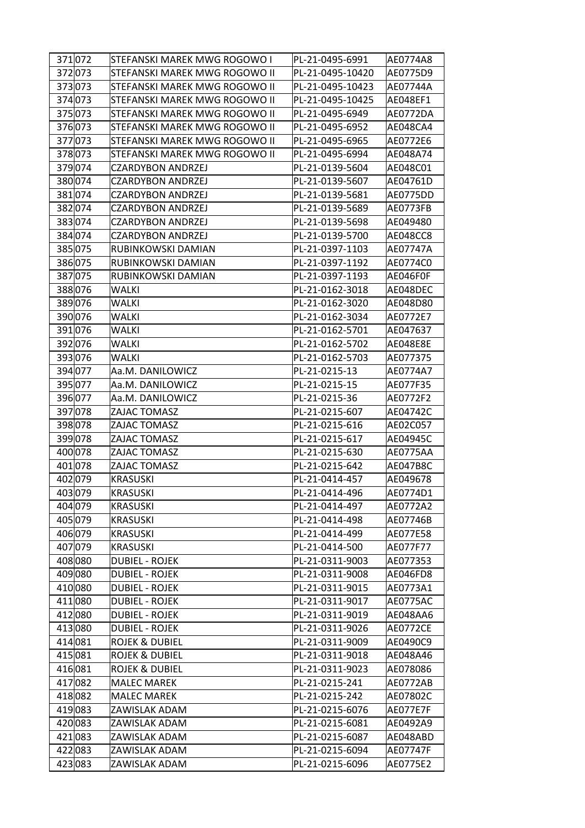| 371 072            | STEFANSKI MAREK MWG ROGOWO I         | PL-21-0495-6991                | AE0774A8             |
|--------------------|--------------------------------------|--------------------------------|----------------------|
| 372 073            | STEFANSKI MAREK MWG ROGOWO II        | PL-21-0495-10420               | AE0775D9             |
| 373073             | STEFANSKI MAREK MWG ROGOWO II        | PL-21-0495-10423               | AE07744A             |
| 374 073            | STEFANSKI MAREK MWG ROGOWO II        | PL-21-0495-10425               | AE048EF1             |
| 375 073            | STEFANSKI MAREK MWG ROGOWO II        | PL-21-0495-6949                | AE0772DA             |
| 376 073            | STEFANSKI MAREK MWG ROGOWO II        | PL-21-0495-6952                | AE048CA4             |
| 377073             | STEFANSKI MAREK MWG ROGOWO II        | PL-21-0495-6965                | AE0772E6             |
| 378073             | STEFANSKI MAREK MWG ROGOWO II        | PL-21-0495-6994                | AE048A74             |
| 379074             | <b>CZARDYBON ANDRZEJ</b>             | PL-21-0139-5604                | AE048C01             |
| 380074             | <b>CZARDYBON ANDRZEJ</b>             | PL-21-0139-5607                | AE04761D             |
| 381 074            | <b>CZARDYBON ANDRZEJ</b>             | PL-21-0139-5681                | AE0775DD             |
| 382 074            | <b>CZARDYBON ANDRZEJ</b>             | PL-21-0139-5689                | AE0773FB             |
| 383074             | <b>CZARDYBON ANDRZEJ</b>             | PL-21-0139-5698                | AE049480             |
| 384074             | <b>CZARDYBON ANDRZEJ</b>             | PL-21-0139-5700                | AE048CC8             |
| 385 075            | RUBINKOWSKI DAMIAN                   | PL-21-0397-1103                | AE07747A             |
| 386 075            | RUBINKOWSKI DAMIAN                   | PL-21-0397-1192                | AE0774C0             |
| 387 075            | RUBINKOWSKI DAMIAN                   | PL-21-0397-1193                | AE046F0F             |
| 388076             | WALKI                                | PL-21-0162-3018                | AE048DEC             |
| 389076             | WALKI                                | PL-21-0162-3020                | AE048D80             |
| 390 076            | <b>WALKI</b>                         | PL-21-0162-3034                | AE0772E7             |
| 391 076            | <b>WALKI</b>                         | PL-21-0162-5701                | AE047637             |
| 392 076            | <b>WALKI</b>                         | PL-21-0162-5702                | AE048E8E             |
| 393076             | WALKI                                | PL-21-0162-5703                | AE077375             |
| 394 077            | Aa.M. DANILOWICZ                     | PL-21-0215-13                  | AE0774A7             |
|                    |                                      |                                |                      |
| 395 077            | Aa.M. DANILOWICZ<br>Aa.M. DANILOWICZ | PL-21-0215-15<br>PL-21-0215-36 | AE077F35<br>AE0772F2 |
| 396 077            | ZAJAC TOMASZ                         | PL-21-0215-607                 |                      |
| 397 078<br>398 078 | ZAJAC TOMASZ                         | PL-21-0215-616                 | AE04742C<br>AE02C057 |
| 399 078            | ZAJAC TOMASZ                         | PL-21-0215-617                 | AE04945C             |
| 400078             | ZAJAC TOMASZ                         | PL-21-0215-630                 | AE0775AA             |
| 401 078            | ZAJAC TOMASZ                         |                                |                      |
|                    |                                      | PL-21-0215-642                 | AE047B8C             |
| 402 079            | <b>KRASUSKI</b>                      | PL-21-0414-457                 | AE049678             |
| 403 079            | <b>KRASUSKI</b>                      | PL-21-0414-496                 | AE0774D1             |
| 404 079            | <b>KRASUSKI</b>                      | PL-21-0414-497                 | AE0772A2             |
| 405 079            | <b>KRASUSKI</b>                      | PL-21-0414-498                 | AE07746B             |
| 406 079            | <b>KRASUSKI</b>                      | PL-21-0414-499                 | AE077E58             |
| 407 079            | <b>KRASUSKI</b>                      | PL-21-0414-500                 | AE077F77             |
| 408080             | <b>DUBIEL - ROJEK</b>                | PL-21-0311-9003                | AE077353             |
| 409080             | DUBIEL - ROJEK                       | PL-21-0311-9008                | AE046FD8             |
| 410080             | DUBIEL - ROJEK                       | PL-21-0311-9015                | AE0773A1             |
| 411080             | <b>DUBIEL - ROJEK</b>                | PL-21-0311-9017                | AE0775AC             |
| 412080             | <b>DUBIEL - ROJEK</b>                | PL-21-0311-9019                | AE048AA6             |
| 413080             | DUBIEL - ROJEK                       | PL-21-0311-9026                | <b>AE0772CE</b>      |
| 414 081            | <b>ROJEK &amp; DUBIEL</b>            | PL-21-0311-9009                | AE0490C9             |
| 415 081            | <b>ROJEK &amp; DUBIEL</b>            | PL-21-0311-9018                | AE048A46             |
| 416081             | ROJEK & DUBIEL                       | PL-21-0311-9023                | AE078086             |
| 417 082            | <b>MALEC MAREK</b>                   | PL-21-0215-241                 | AE0772AB             |
| 418 082            | <b>MALEC MAREK</b>                   | PL-21-0215-242                 | AE07802C             |
| 419083             | ZAWISLAK ADAM                        | PL-21-0215-6076                | AE077E7F             |
| 420083             | ZAWISLAK ADAM                        | PL-21-0215-6081                | AE0492A9             |
| 421083             | ZAWISLAK ADAM                        | PL-21-0215-6087                | AE048ABD             |
| 422083             | ZAWISLAK ADAM                        | PL-21-0215-6094                | AE07747F             |
| 423 083            | ZAWISLAK ADAM                        | PL-21-0215-6096                | AE0775E2             |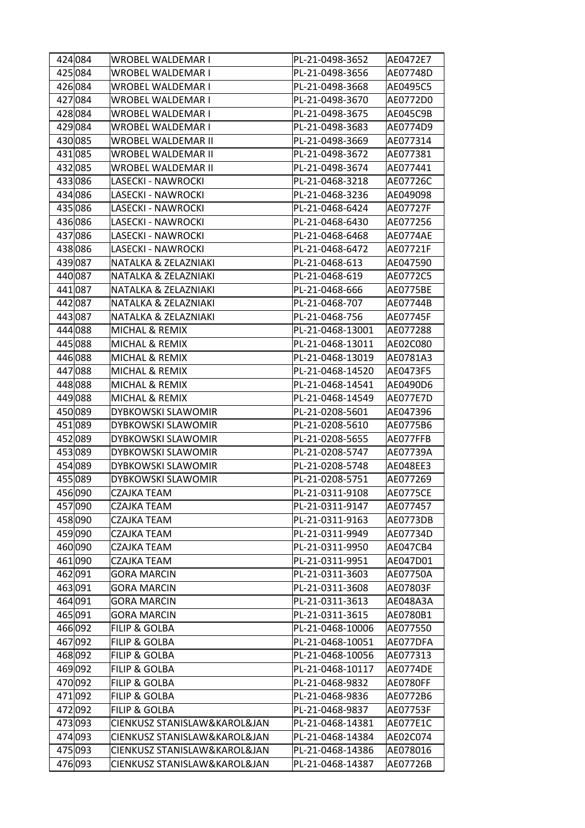| 424 084 | WROBEL WALDEMAR I            | PL-21-0498-3652  | AE0472E7        |
|---------|------------------------------|------------------|-----------------|
| 425084  | WROBEL WALDEMAR I            | PL-21-0498-3656  | AE07748D        |
| 426084  | WROBEL WALDEMAR I            | PL-21-0498-3668  | AE0495C5        |
| 427 084 | WROBEL WALDEMAR I            | PL-21-0498-3670  | AE0772D0        |
| 428084  | WROBEL WALDEMAR I            | PL-21-0498-3675  | AE045C9B        |
| 429084  | WROBEL WALDEMAR I            | PL-21-0498-3683  | AE0774D9        |
| 430 085 | WROBEL WALDEMAR II           | PL-21-0498-3669  | AE077314        |
| 431 085 | WROBEL WALDEMAR II           | PL-21-0498-3672  | AE077381        |
| 432 085 | WROBEL WALDEMAR II           | PL-21-0498-3674  | AE077441        |
| 433086  | LASECKI - NAWROCKI           | PL-21-0468-3218  | AE07726C        |
| 434 086 | LASECKI - NAWROCKI           | PL-21-0468-3236  | AE049098        |
| 435 086 | LASECKI - NAWROCKI           | PL-21-0468-6424  | AE07727F        |
| 436086  | LASECKI - NAWROCKI           | PL-21-0468-6430  | AE077256        |
| 437086  | LASECKI - NAWROCKI           | PL-21-0468-6468  | AE0774AE        |
| 438086  | LASECKI - NAWROCKI           | PL-21-0468-6472  | AE07721F        |
| 439 087 | NATALKA & ZELAZNIAKI         | PL-21-0468-613   | AE047590        |
| 440 087 | NATALKA & ZELAZNIAKI         | PL-21-0468-619   | AE0772C5        |
| 441 087 | NATALKA & ZELAZNIAKI         | PL-21-0468-666   | <b>AE0775BE</b> |
| 442 087 | NATALKA & ZELAZNIAKI         | PL-21-0468-707   | AE07744B        |
| 443 087 | NATALKA & ZELAZNIAKI         | PL-21-0468-756   | AE07745F        |
| 444 088 | MICHAL & REMIX               | PL-21-0468-13001 | AE077288        |
| 445 088 | MICHAL & REMIX               | PL-21-0468-13011 | AE02C080        |
| 446 088 | MICHAL & REMIX               | PL-21-0468-13019 | AE0781A3        |
| 447 088 | MICHAL & REMIX               | PL-21-0468-14520 | AE0473F5        |
| 448 088 | MICHAL & REMIX               | PL-21-0468-14541 | AE0490D6        |
| 449 088 | MICHAL & REMIX               | PL-21-0468-14549 | AE077E7D        |
| 450 089 | DYBKOWSKI SLAWOMIR           | PL-21-0208-5601  | AE047396        |
| 451 089 | DYBKOWSKI SLAWOMIR           | PL-21-0208-5610  | AE0775B6        |
| 452 089 | DYBKOWSKI SLAWOMIR           | PL-21-0208-5655  | AE077FFB        |
| 453089  | DYBKOWSKI SLAWOMIR           | PL-21-0208-5747  | AE07739A        |
| 454 089 | DYBKOWSKI SLAWOMIR           | PL-21-0208-5748  | AE048EE3        |
| 455 089 | DYBKOWSKI SLAWOMIR           | PL-21-0208-5751  | AE077269        |
| 456090  | <b>CZAJKA TEAM</b>           | PL-21-0311-9108  | <b>AE0775CE</b> |
| 457 090 | CZAJKA TEAM                  | PL-21-0311-9147  | AE077457        |
| 458090  | CZAJKA TEAM                  | PL-21-0311-9163  | AE0773DB        |
| 459090  | CZAJKA TEAM                  | PL-21-0311-9949  | AE07734D        |
| 460090  | CZAJKA TEAM                  | PL-21-0311-9950  | AE047CB4        |
| 461090  | CZAJKA TEAM                  | PL-21-0311-9951  | AE047D01        |
| 462 091 | <b>GORA MARCIN</b>           | PL-21-0311-3603  | AE07750A        |
| 463091  | <b>GORA MARCIN</b>           | PL-21-0311-3608  | AE07803F        |
| 464 091 | <b>GORA MARCIN</b>           | PL-21-0311-3613  | AE048A3A        |
| 465 091 | <b>GORA MARCIN</b>           | PL-21-0311-3615  | AE0780B1        |
| 466092  | <b>FILIP &amp; GOLBA</b>     | PL-21-0468-10006 | AE077550        |
| 467 092 | <b>FILIP &amp; GOLBA</b>     | PL-21-0468-10051 | AE077DFA        |
| 468 092 | <b>FILIP &amp; GOLBA</b>     | PL-21-0468-10056 | AE077313        |
| 469 092 | <b>FILIP &amp; GOLBA</b>     | PL-21-0468-10117 | AE0774DE        |
| 470 092 | <b>FILIP &amp; GOLBA</b>     | PL-21-0468-9832  | AE0780FF        |
| 471092  | <b>FILIP &amp; GOLBA</b>     | PL-21-0468-9836  | AE0772B6        |
| 472092  | <b>FILIP &amp; GOLBA</b>     | PL-21-0468-9837  | AE07753F        |
| 473093  | CIENKUSZ STANISLAW&KAROL&JAN | PL-21-0468-14381 | AE077E1C        |
| 474 093 | CIENKUSZ STANISLAW&KAROL&JAN | PL-21-0468-14384 | AE02C074        |
| 475 093 | CIENKUSZ STANISLAW&KAROL&JAN | PL-21-0468-14386 | AE078016        |
| 476093  | CIENKUSZ STANISLAW&KAROL&JAN | PL-21-0468-14387 | AE07726B        |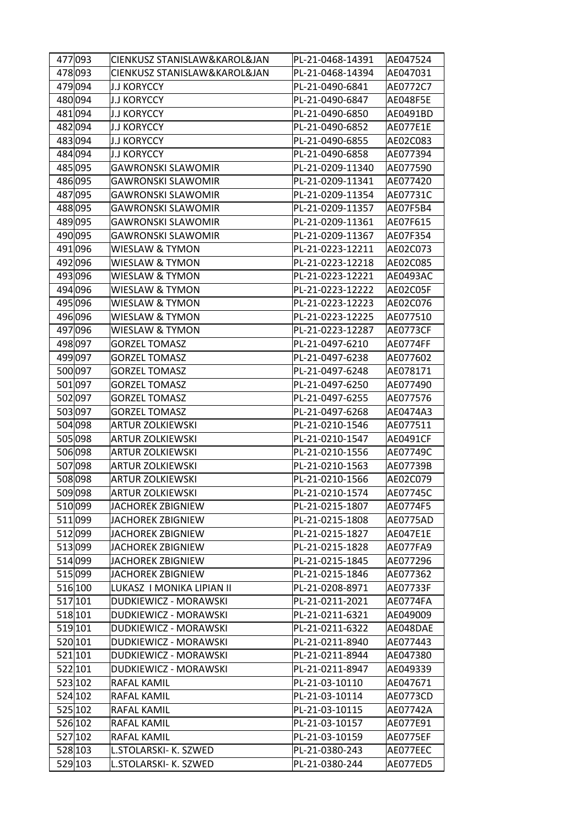| 477093  | CIENKUSZ STANISLAW&KAROL&JAN | PL-21-0468-14391 | AE047524 |
|---------|------------------------------|------------------|----------|
| 478093  | CIENKUSZ STANISLAW&KAROL&JAN | PL-21-0468-14394 | AE047031 |
| 479094  | <b>J.J KORYCCY</b>           | PL-21-0490-6841  | AE0772C7 |
| 480 094 | <b>J.J KORYCCY</b>           | PL-21-0490-6847  | AE048F5E |
| 481 094 | <b>J.J KORYCCY</b>           | PL-21-0490-6850  | AE0491BD |
| 482 094 | <b>J.J KORYCCY</b>           | PL-21-0490-6852  | AE077E1E |
| 483094  | <b>J.J KORYCCY</b>           | PL-21-0490-6855  | AE02C083 |
| 484 094 | <b>J.J KORYCCY</b>           | PL-21-0490-6858  | AE077394 |
| 485 095 | <b>GAWRONSKI SLAWOMIR</b>    | PL-21-0209-11340 | AE077590 |
| 486095  | <b>GAWRONSKI SLAWOMIR</b>    | PL-21-0209-11341 | AE077420 |
| 487 095 | <b>GAWRONSKI SLAWOMIR</b>    | PL-21-0209-11354 | AE07731C |
| 488095  | <b>GAWRONSKI SLAWOMIR</b>    | PL-21-0209-11357 | AE07F5B4 |
| 489 095 | <b>GAWRONSKI SLAWOMIR</b>    | PL-21-0209-11361 | AE07F615 |
| 490 095 | <b>GAWRONSKI SLAWOMIR</b>    | PL-21-0209-11367 | AE07F354 |
| 491 096 | WIESLAW & TYMON              | PL-21-0223-12211 | AE02C073 |
| 492 096 | WIESLAW & TYMON              | PL-21-0223-12218 | AE02C085 |
| 493 096 | WIESLAW & TYMON              | PL-21-0223-12221 | AE0493AC |
| 494 096 | WIESLAW & TYMON              | PL-21-0223-12222 | AE02C05F |
| 495 096 | WIESLAW & TYMON              | PL-21-0223-12223 | AE02C076 |
| 496 096 | WIESLAW & TYMON              | PL-21-0223-12225 | AE077510 |
| 497 096 | WIESLAW & TYMON              | PL-21-0223-12287 | AE0773CF |
| 498 097 | <b>GORZEL TOMASZ</b>         | PL-21-0497-6210  | AE0774FF |
| 499 097 | <b>GORZEL TOMASZ</b>         | PL-21-0497-6238  | AE077602 |
| 500 097 | <b>GORZEL TOMASZ</b>         | PL-21-0497-6248  | AE078171 |
| 501 097 | <b>GORZEL TOMASZ</b>         | PL-21-0497-6250  | AE077490 |
| 502 097 | <b>GORZEL TOMASZ</b>         | PL-21-0497-6255  | AE077576 |
| 503 097 | <b>GORZEL TOMASZ</b>         | PL-21-0497-6268  | AE0474A3 |
| 504 098 | <b>ARTUR ZOLKIEWSKI</b>      | PL-21-0210-1546  | AE077511 |
| 505 098 | <b>ARTUR ZOLKIEWSKI</b>      | PL-21-0210-1547  | AE0491CF |
| 506 098 | <b>ARTUR ZOLKIEWSKI</b>      | PL-21-0210-1556  | AE07749C |
| 507 098 | <b>ARTUR ZOLKIEWSKI</b>      | PL-21-0210-1563  | AE07739B |
| 508 098 | <b>ARTUR ZOLKIEWSKI</b>      | PL-21-0210-1566  | AE02C079 |
| 509 098 | <b>ARTUR ZOLKIEWSKI</b>      | PL-21-0210-1574  | AE07745C |
| 510 099 | JACHOREK ZBIGNIEW            | PL-21-0215-1807  | AE0774F5 |
| 511 099 | JACHOREK ZBIGNIEW            | PL-21-0215-1808  | AE0775AD |
| 512 099 | <b>JACHOREK ZBIGNIEW</b>     | PL-21-0215-1827  | AE047E1E |
| 513099  | <b>JACHOREK ZBIGNIEW</b>     | PL-21-0215-1828  | AE077FA9 |
| 514 099 | <b>JACHOREK ZBIGNIEW</b>     | PL-21-0215-1845  | AE077296 |
| 515 099 | JACHOREK ZBIGNIEW            | PL-21-0215-1846  | AE077362 |
| 516 100 | LUKASZ I MONIKA LIPIAN II    | PL-21-0208-8971  | AE07733F |
| 517 101 | DUDKIEWICZ - MORAWSKI        | PL-21-0211-2021  | AE0774FA |
| 518 101 | DUDKIEWICZ - MORAWSKI        | PL-21-0211-6321  | AE049009 |
| 519 101 | DUDKIEWICZ - MORAWSKI        | PL-21-0211-6322  | AE048DAE |
| 520 101 | DUDKIEWICZ - MORAWSKI        | PL-21-0211-8940  | AE077443 |
| 521 101 | DUDKIEWICZ - MORAWSKI        | PL-21-0211-8944  | AE047380 |
| 522 101 | DUDKIEWICZ - MORAWSKI        | PL-21-0211-8947  | AE049339 |
| 523 102 | RAFAL KAMIL                  | PL-21-03-10110   | AE047671 |
| 524 102 | RAFAL KAMIL                  | PL-21-03-10114   | AE0773CD |
| 525 102 | RAFAL KAMIL                  | PL-21-03-10115   | AE07742A |
| 526 102 | RAFAL KAMIL                  | PL-21-03-10157   | AE077E91 |
| 527 102 | RAFAL KAMIL                  | PL-21-03-10159   | AE0775EF |
| 528 103 | L.STOLARSKI- K. SZWED        | PL-21-0380-243   | AE077EEC |
| 529 103 | L.STOLARSKI- K. SZWED        | PL-21-0380-244   | AE077ED5 |
|         |                              |                  |          |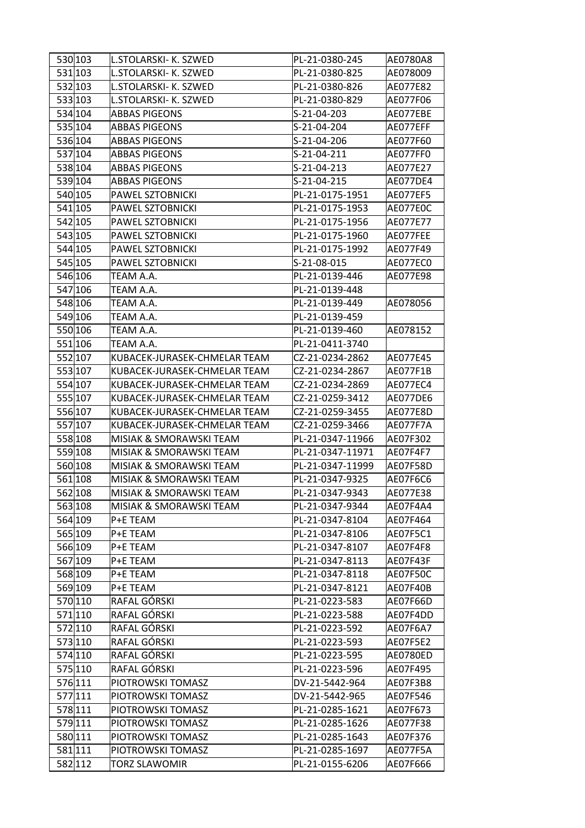| 530 103 | ll.STOLARSKI- K. SZWED       | PL-21-0380-245   | AE0780A8 |
|---------|------------------------------|------------------|----------|
| 531 103 | L.STOLARSKI- K. SZWED        | PL-21-0380-825   | AE078009 |
| 532 103 | L.STOLARSKI- K. SZWED        | PL-21-0380-826   | AE077E82 |
| 533 103 | L.STOLARSKI- K. SZWED        | PL-21-0380-829   | AE077F06 |
| 534 104 | <b>ABBAS PIGEONS</b>         | S-21-04-203      | AE077EBE |
| 535 104 | <b>ABBAS PIGEONS</b>         | S-21-04-204      | AE077EFF |
| 536 104 | <b>ABBAS PIGEONS</b>         | S-21-04-206      | AE077F60 |
| 537 104 | <b>ABBAS PIGEONS</b>         | S-21-04-211      | AE077FF0 |
| 538 104 | <b>ABBAS PIGEONS</b>         | S-21-04-213      | AE077E27 |
| 539 104 | <b>ABBAS PIGEONS</b>         | S-21-04-215      | AE077DE4 |
| 540 105 | PAWEL SZTOBNICKI             | PL-21-0175-1951  | AE077EF5 |
| 541 105 | PAWEL SZTOBNICKI             | PL-21-0175-1953  | AE077E0C |
| 542 105 | PAWEL SZTOBNICKI             | PL-21-0175-1956  | AE077E77 |
| 543 105 | PAWEL SZTOBNICKI             | PL-21-0175-1960  | AE077FEE |
| 544 105 | PAWEL SZTOBNICKI             | PL-21-0175-1992  | AE077F49 |
| 545 105 | PAWEL SZTOBNICKI             | S-21-08-015      | AE077EC0 |
| 546 106 | TEAM A.A.                    | PL-21-0139-446   | AE077E98 |
| 547 106 | TEAM A.A.                    | PL-21-0139-448   |          |
| 548 106 | TEAM A.A.                    | PL-21-0139-449   | AE078056 |
| 549 106 | TEAM A.A.                    | PL-21-0139-459   |          |
| 550 106 | TEAM A.A.                    | PL-21-0139-460   | AE078152 |
| 551 106 | TEAM A.A.                    | PL-21-0411-3740  |          |
| 552 107 | KUBACEK-JURASEK-CHMELAR TEAM | CZ-21-0234-2862  | AE077E45 |
| 553 107 | KUBACEK-JURASEK-CHMELAR TEAM | CZ-21-0234-2867  | AE077F1B |
| 554 107 | KUBACEK-JURASEK-CHMELAR TEAM | CZ-21-0234-2869  | AE077EC4 |
| 555 107 | KUBACEK-JURASEK-CHMELAR TEAM | CZ-21-0259-3412  | AE077DE6 |
| 556 107 | KUBACEK-JURASEK-CHMELAR TEAM | CZ-21-0259-3455  | AE077E8D |
| 557 107 | KUBACEK-JURASEK-CHMELAR TEAM | CZ-21-0259-3466  | AE077F7A |
| 558 108 | MISIAK & SMORAWSKI TEAM      | PL-21-0347-11966 | AE07F302 |
| 559 108 | MISIAK & SMORAWSKI TEAM      | PL-21-0347-11971 | AE07F4F7 |
| 560 108 | MISIAK & SMORAWSKI TEAM      | PL-21-0347-11999 | AE07F58D |
| 561 108 | MISIAK & SMORAWSKI TEAM      | PL-21-0347-9325  | AE07F6C6 |
| 562 108 | MISIAK & SMORAWSKI TEAM      | PL-21-0347-9343  | AE077E38 |
| 563 108 | MISIAK & SMORAWSKI TEAM      | PL-21-0347-9344  | AE07F4A4 |
| 564 109 | P+E TEAM                     | PL-21-0347-8104  | AE07F464 |
| 565 109 | P+E TEAM                     | PL-21-0347-8106  | AE07F5C1 |
| 566 109 | P+E TEAM                     | PL-21-0347-8107  | AE07F4F8 |
| 567 109 | P+E TEAM                     | PL-21-0347-8113  | AE07F43F |
| 568 109 | P+E TEAM                     | PL-21-0347-8118  | AE07F50C |
| 569 109 | P+E TEAM                     | PL-21-0347-8121  | AE07F40B |
| 570 110 | RAFAL GÓRSKI                 | PL-21-0223-583   | AE07F66D |
| 571 110 | RAFAL GÓRSKI                 | PL-21-0223-588   | AE07F4DD |
| 572 110 | RAFAL GÓRSKI                 | PL-21-0223-592   | AE07F6A7 |
| 573 110 | RAFAL GÓRSKI                 | PL-21-0223-593   | AE07F5E2 |
| 574 110 | RAFAL GÓRSKI                 | PL-21-0223-595   | AE0780ED |
| 575 110 | RAFAL GÓRSKI                 | PL-21-0223-596   | AE07F495 |
| 576 111 | PIOTROWSKI TOMASZ            | DV-21-5442-964   | AE07F3B8 |
| 577 111 | PIOTROWSKI TOMASZ            | DV-21-5442-965   | AE07F546 |
| 578 111 | PIOTROWSKI TOMASZ            | PL-21-0285-1621  | AE07F673 |
| 579 111 | PIOTROWSKI TOMASZ            | PL-21-0285-1626  | AE077F38 |
| 580 111 | PIOTROWSKI TOMASZ            | PL-21-0285-1643  | AE07F376 |
| 581 111 | PIOTROWSKI TOMASZ            | PL-21-0285-1697  | AE077F5A |
| 582 112 | <b>TORZ SLAWOMIR</b>         | PL-21-0155-6206  | AE07F666 |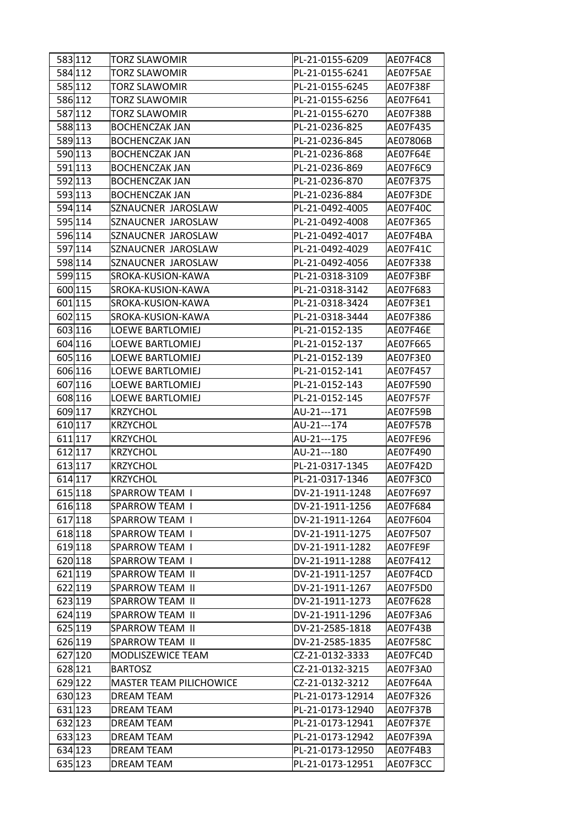| 583 112 | TORZ SLAWOMIR                  | PL-21-0155-6209  | AE07F4C8 |
|---------|--------------------------------|------------------|----------|
| 584 112 | <b>TORZ SLAWOMIR</b>           | PL-21-0155-6241  | AE07F5AE |
| 585 112 | <b>TORZ SLAWOMIR</b>           | PL-21-0155-6245  | AE07F38F |
| 586 112 | <b>TORZ SLAWOMIR</b>           | PL-21-0155-6256  | AE07F641 |
| 587 112 | <b>TORZ SLAWOMIR</b>           | PL-21-0155-6270  | AE07F38B |
| 588 113 | <b>BOCHENCZAK JAN</b>          | PL-21-0236-825   | AE07F435 |
| 589 113 | <b>BOCHENCZAK JAN</b>          | PL-21-0236-845   | AE07806B |
| 590 113 | <b>BOCHENCZAK JAN</b>          | PL-21-0236-868   | AE07F64E |
| 591 113 | <b>BOCHENCZAK JAN</b>          | PL-21-0236-869   | AE07F6C9 |
| 592 113 | <b>BOCHENCZAK JAN</b>          | PL-21-0236-870   | AE07F375 |
| 593 113 | <b>BOCHENCZAK JAN</b>          | PL-21-0236-884   | AE07F3DE |
| 594 114 | SZNAUCNER JAROSLAW             | PL-21-0492-4005  | AE07F40C |
| 595 114 | SZNAUCNER JAROSLAW             | PL-21-0492-4008  | AE07F365 |
| 596 114 | SZNAUCNER JAROSLAW             | PL-21-0492-4017  | AE07F4BA |
| 597 114 | SZNAUCNER JAROSLAW             | PL-21-0492-4029  | AE07F41C |
| 598 114 | SZNAUCNER JAROSLAW             | PL-21-0492-4056  | AE07F338 |
| 599 115 | SROKA-KUSION-KAWA              | PL-21-0318-3109  | AE07F3BF |
| 600 115 | SROKA-KUSION-KAWA              | PL-21-0318-3142  | AE07F683 |
| 601 115 | SROKA-KUSION-KAWA              | PL-21-0318-3424  | AE07F3E1 |
| 602 115 | SROKA-KUSION-KAWA              | PL-21-0318-3444  | AE07F386 |
| 603 116 | <b>LOEWE BARTLOMIEJ</b>        | PL-21-0152-135   | AE07F46E |
| 604 116 | LOEWE BARTLOMIEJ               | PL-21-0152-137   | AE07F665 |
| 605 116 | LOEWE BARTLOMIEJ               | PL-21-0152-139   | AE07F3E0 |
| 606 116 | LOEWE BARTLOMIEJ               | PL-21-0152-141   | AE07F457 |
| 607 116 | LOEWE BARTLOMIEJ               | PL-21-0152-143   | AE07F590 |
| 608 116 | LOEWE BARTLOMIEJ               | PL-21-0152-145   | AE07F57F |
| 609 117 | <b>KRZYCHOL</b>                | AU-21---171      | AE07F59B |
| 610 117 | <b>KRZYCHOL</b>                | AU-21---174      | AE07F57B |
| 611 117 | <b>KRZYCHOL</b>                | AU-21---175      | AE07FE96 |
| 612 117 | <b>KRZYCHOL</b>                | AU-21---180      | AE07F490 |
| 613 117 | <b>KRZYCHOL</b>                | PL-21-0317-1345  | AE07F42D |
| 614 117 | <b>KRZYCHOL</b>                | PL-21-0317-1346  | AE07F3C0 |
| 615 118 | SPARROW TEAM I                 | DV-21-1911-1248  | AE07F697 |
| 616 118 | SPARROW TEAM I                 | DV-21-1911-1256  | AE07F684 |
| 617 118 | SPARROW TEAM I                 | DV-21-1911-1264  | AE07F604 |
| 618 118 | <b>SPARROW TEAM I</b>          | DV-21-1911-1275  | AE07F507 |
| 619 118 | SPARROW TEAM I                 | DV-21-1911-1282  | AE07FE9F |
| 620 118 | SPARROW TEAM I                 | DV-21-1911-1288  | AE07F412 |
| 621 119 | SPARROW TEAM II                | DV-21-1911-1257  | AE07F4CD |
| 622 119 | SPARROW TEAM II                | DV-21-1911-1267  | AE07F5D0 |
| 623 119 | SPARROW TEAM II                | DV-21-1911-1273  | AE07F628 |
| 624 119 | SPARROW TEAM II                | DV-21-1911-1296  | AE07F3A6 |
| 625 119 | SPARROW TEAM II                | DV-21-2585-1818  | AE07F43B |
| 626 119 | SPARROW TEAM II                | DV-21-2585-1835  | AE07F58C |
| 627 120 | MODLISZEWICE TEAM              | CZ-21-0132-3333  | AE07FC4D |
| 628 121 | <b>BARTOSZ</b>                 | CZ-21-0132-3215  | AE07F3A0 |
| 629 122 | <b>MASTER TEAM PILICHOWICE</b> | CZ-21-0132-3212  | AE07F64A |
| 630 123 | DREAM TEAM                     | PL-21-0173-12914 | AE07F326 |
| 631 123 | DREAM TEAM                     | PL-21-0173-12940 | AE07F37B |
| 632 123 | <b>DREAM TEAM</b>              | PL-21-0173-12941 | AE07F37E |
| 633 123 | <b>DREAM TEAM</b>              | PL-21-0173-12942 | AE07F39A |
| 634 123 | DREAM TEAM                     | PL-21-0173-12950 | AE07F4B3 |
| 635 123 | DREAM TEAM                     | PL-21-0173-12951 | AE07F3CC |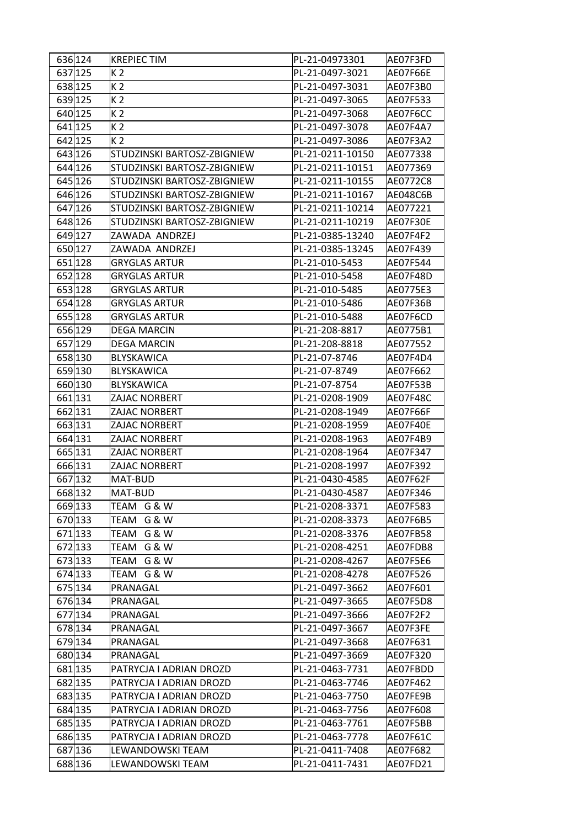| 636 124 | KREPIEC TIM                 | PL-21-04973301   | AE07F3FD |
|---------|-----------------------------|------------------|----------|
| 637 125 | K 2                         | PL-21-0497-3021  | AE07F66E |
| 638 125 | K <sub>2</sub>              | PL-21-0497-3031  | AE07F3B0 |
| 639 125 | K <sub>2</sub>              | PL-21-0497-3065  | AE07F533 |
| 640 125 | K <sub>2</sub>              | PL-21-0497-3068  | AE07F6CC |
| 641 125 | K 2                         | PL-21-0497-3078  | AE07F4A7 |
| 642 125 | K <sub>2</sub>              | PL-21-0497-3086  | AE07F3A2 |
| 643 126 | STUDZINSKI BARTOSZ-ZBIGNIEW | PL-21-0211-10150 | AE077338 |
| 644 126 | STUDZINSKI BARTOSZ-ZBIGNIEW | PL-21-0211-10151 | AE077369 |
| 645 126 | STUDZINSKI BARTOSZ-ZBIGNIEW | PL-21-0211-10155 | AE0772C8 |
| 646 126 | STUDZINSKI BARTOSZ-ZBIGNIEW | PL-21-0211-10167 | AE048C6B |
| 647 126 | STUDZINSKI BARTOSZ-ZBIGNIEW | PL-21-0211-10214 | AE077221 |
| 648 126 | STUDZINSKI BARTOSZ-ZBIGNIEW | PL-21-0211-10219 | AE07F30E |
| 649 127 | ZAWADA ANDRZEJ              | PL-21-0385-13240 | AE07F4F2 |
| 650 127 | ZAWADA ANDRZEJ              | PL-21-0385-13245 | AE07F439 |
| 651 128 | <b>GRYGLAS ARTUR</b>        | PL-21-010-5453   | AE07F544 |
| 652 128 | <b>GRYGLAS ARTUR</b>        | PL-21-010-5458   | AE07F48D |
| 653 128 | <b>GRYGLAS ARTUR</b>        | PL-21-010-5485   | AE0775E3 |
| 654 128 | <b>GRYGLAS ARTUR</b>        | PL-21-010-5486   | AE07F36B |
| 655 128 | <b>GRYGLAS ARTUR</b>        | PL-21-010-5488   | AE07F6CD |
| 656 129 | DEGA MARCIN                 | PL-21-208-8817   | AE0775B1 |
| 657 129 | <b>DEGA MARCIN</b>          | PL-21-208-8818   | AE077552 |
| 658 130 | <b>BLYSKAWICA</b>           | PL-21-07-8746    | AE07F4D4 |
| 659 130 | <b>BLYSKAWICA</b>           | PL-21-07-8749    | AE07F662 |
| 660 130 | BLYSKAWICA                  | PL-21-07-8754    | AE07F53B |
| 661 131 | ZAJAC NORBERT               | PL-21-0208-1909  | AE07F48C |
| 662 131 | ZAJAC NORBERT               | PL-21-0208-1949  | AE07F66F |
| 663 131 | ZAJAC NORBERT               | PL-21-0208-1959  | AE07F40E |
| 664 131 | ZAJAC NORBERT               | PL-21-0208-1963  | AE07F4B9 |
| 665 131 | ZAJAC NORBERT               | PL-21-0208-1964  | AE07F347 |
| 666 131 | ZAJAC NORBERT               | PL-21-0208-1997  | AE07F392 |
| 667 132 | MAT-BUD                     | PL-21-0430-4585  | AE07F62F |
| 668 132 | MAT-BUD                     | PL-21-0430-4587  | AE07F346 |
| 669 133 | TEAM G & W                  | PL-21-0208-3371  | AE07F583 |
| 670 133 | TEAM G & W                  | PL-21-0208-3373  | AE07F6B5 |
| 671 133 | TEAM G & W                  | PL-21-0208-3376  | AE07FB58 |
| 672 133 | TEAM G & W                  | PL-21-0208-4251  | AE07FDB8 |
| 673 133 | TEAM G & W                  | PL-21-0208-4267  | AE07F5E6 |
| 674 133 | TEAM G & W                  | PL-21-0208-4278  | AE07F526 |
| 675 134 | PRANAGAL                    | PL-21-0497-3662  | AE07F601 |
| 676 134 | PRANAGAL                    | PL-21-0497-3665  | AE07F5D8 |
| 677 134 | PRANAGAL                    | PL-21-0497-3666  | AE07F2F2 |
| 678 134 | PRANAGAL                    | PL-21-0497-3667  | AE07F3FE |
| 679 134 | PRANAGAL                    | PL-21-0497-3668  | AE07F631 |
| 680 134 | PRANAGAL                    | PL-21-0497-3669  | AE07F320 |
| 681 135 | PATRYCJA I ADRIAN DROZD     | PL-21-0463-7731  | AE07FBDD |
| 682 135 | PATRYCJA I ADRIAN DROZD     | PL-21-0463-7746  | AE07F462 |
| 683 135 | PATRYCJA I ADRIAN DROZD     | PL-21-0463-7750  | AE07FE9B |
| 684 135 | PATRYCJA I ADRIAN DROZD     | PL-21-0463-7756  | AE07F608 |
| 685 135 | PATRYCJA I ADRIAN DROZD     | PL-21-0463-7761  | AE07F5BB |
| 686 135 | PATRYCJA I ADRIAN DROZD     | PL-21-0463-7778  | AE07F61C |
| 687 136 | LEWANDOWSKI TEAM            | PL-21-0411-7408  | AE07F682 |
| 688 136 | LEWANDOWSKI TEAM            | PL-21-0411-7431  | AE07FD21 |